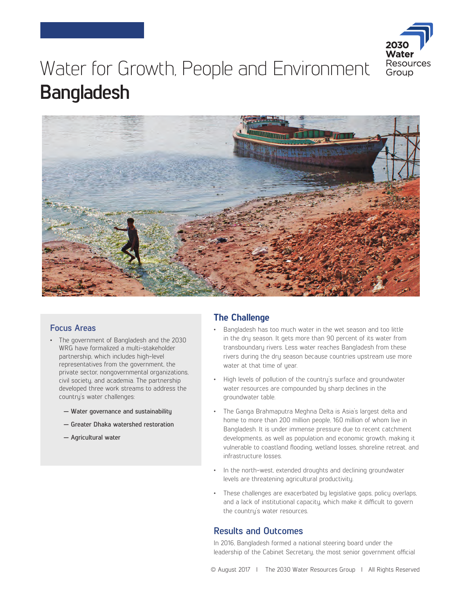

# Water for Growth, People and Environment **Bangladesh**



## **Focus Areas**

- The government of Bangladesh and the 2030 WRG have formalized a multi-stakeholder partnership, which includes high-level representatives from the government, the private sector, nongovernmental organizations, civil society, and academia. The partnership developed three work streams to address the country's water challenges:
	- **Water governance and sustainability**
	- **Greater Dhaka watershed restoration**
	- **Agricultural water**

# **The Challenge**

- Bangladesh has too much water in the wet season and too little in the dry season. It gets more than 90 percent of its water from transboundary rivers. Less water reaches Bangladesh from these rivers during the dry season because countries upstream use more water at that time of year.
- High levels of pollution of the country's surface and groundwater water resources are compounded by sharp declines in the groundwater table.
- The Ganga Brahmaputra Meghna Delta is Asia's largest delta and home to more than 200 million people, 160 million of whom live in Bangladesh. It is under immense pressure due to recent catchment developments, as well as population and economic growth, making it vulnerable to coastland flooding, wetland losses, shoreline retreat, and infrastructure losses.
- In the north-west, extended droughts and declining groundwater levels are threatening agricultural productivity.
- These challenges are exacerbated by legislative gaps, policy overlaps, and a lack of institutional capacity, which make it difficult to govern the country's water resources.

# **Results and Outcomes**

In 2016, Bangladesh formed a national steering board under the leadership of the Cabinet Secretary, the most senior government official